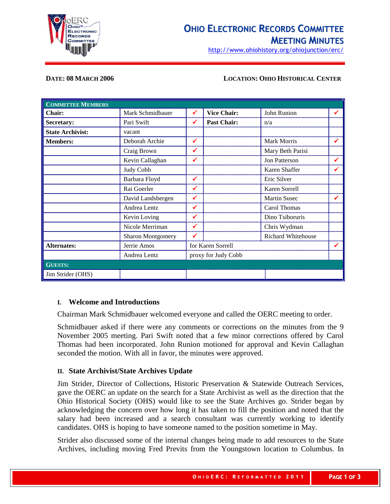

# **OHIO ELECTRONIC RECORDS COMMITTEE MEETING MINUTES**

http://www.ohiohistory.org/ohiojunction/erc/

#### **DATE: 08 MARCH 2006 LOCATION: OHIO HISTORICAL CENTER**

| <b>COMMITTEE MEMBERS</b> |                          |                   |                     |                           |   |
|--------------------------|--------------------------|-------------------|---------------------|---------------------------|---|
| Chair:                   | Mark Schmidbauer         | ✔                 | <b>Vice Chair:</b>  | John Runion               | ✔ |
| Secretary:               | Pari Swift               | ✔                 | <b>Past Chair:</b>  | n/a                       |   |
| <b>State Archivist:</b>  | vacant                   |                   |                     |                           |   |
| <b>Members:</b>          | Deborah Archie           | ✔                 |                     | Mark Morris               |   |
|                          | Craig Brown              | ✔                 |                     | Mary Beth Parisi          |   |
|                          | Kevin Callaghan          | ✔                 |                     | <b>Jon Patterson</b>      | ✔ |
|                          | Judy Cobb                |                   |                     | Karen Shaffer             |   |
|                          | Barbara Floyd            | ✓                 |                     | Eric Silver               |   |
|                          | Rai Goerler              | ✔                 |                     | Karen Sorrell             |   |
|                          | David Landsbergen        | ✔                 |                     | <b>Martin Susec</b>       |   |
|                          | Andrea Lentz             | ✓                 |                     | Carol Thomas              |   |
|                          | Kevin Loving             |                   |                     | Dino Tsiboruris           |   |
|                          | Nicole Merriman          | ✔                 |                     | Chris Wydman              |   |
|                          | <b>Sharon Montgomery</b> | ✔                 |                     | <b>Richard Whitehouse</b> |   |
| <b>Alternates:</b>       | Jerrie Amos              | for Karen Sorrell |                     |                           |   |
|                          | Andrea Lentz             |                   | proxy for Judy Cobb |                           |   |
| <b>GUESTS:</b>           |                          |                   |                     |                           |   |
| Jim Strider (OHS)        |                          |                   |                     |                           |   |

#### **I. Welcome and Introductions**

Chairman Mark Schmidbauer welcomed everyone and called the OERC meeting to order.

Schmidbauer asked if there were any comments or corrections on the minutes from the 9 November 2005 meeting. Pari Swift noted that a few minor corrections offered by Carol Thomas had been incorporated. John Runion motioned for approval and Kevin Callaghan seconded the motion. With all in favor, the minutes were approved.

### **II. State Archivist/State Archives Update**

Jim Strider, Director of Collections, Historic Preservation & Statewide Outreach Services, gave the OERC an update on the search for a State Archivist as well as the direction that the Ohio Historical Society (OHS) would like to see the State Archives go. Strider began by acknowledging the concern over how long it has taken to fill the position and noted that the salary had been increased and a search consultant was currently working to identify candidates. OHS is hoping to have someone named to the position sometime in May.

Strider also discussed some of the internal changes being made to add resources to the State Archives, including moving Fred Previts from the Youngstown location to Columbus. In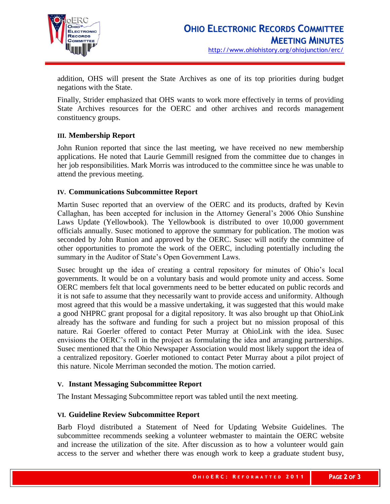

addition, OHS will present the State Archives as one of its top priorities during budget negations with the State.

Finally, Strider emphasized that OHS wants to work more effectively in terms of providing State Archives resources for the OERC and other archives and records management constituency groups.

# **III. Membership Report**

John Runion reported that since the last meeting, we have received no new membership applications. He noted that Laurie Gemmill resigned from the committee due to changes in her job responsibilities. Mark Morris was introduced to the committee since he was unable to attend the previous meeting.

### **IV. Communications Subcommittee Report**

Martin Susec reported that an overview of the OERC and its products, drafted by Kevin Callaghan, has been accepted for inclusion in the Attorney General's 2006 Ohio Sunshine Laws Update (Yellowbook). The Yellowbook is distributed to over 10,000 government officials annually. Susec motioned to approve the summary for publication. The motion was seconded by John Runion and approved by the OERC. Susec will notify the committee of other opportunities to promote the work of the OERC, including potentially including the summary in the Auditor of State's Open Government Laws.

Susec brought up the idea of creating a central repository for minutes of Ohio's local governments. It would be on a voluntary basis and would promote unity and access. Some OERC members felt that local governments need to be better educated on public records and it is not safe to assume that they necessarily want to provide access and uniformity. Although most agreed that this would be a massive undertaking, it was suggested that this would make a good NHPRC grant proposal for a digital repository. It was also brought up that OhioLink already has the software and funding for such a project but no mission proposal of this nature. Rai Goerler offered to contact Peter Murray at OhioLink with the idea. Susec envisions the OERC's roll in the project as formulating the idea and arranging partnerships. Susec mentioned that the Ohio Newspaper Association would most likely support the idea of a centralized repository. Goerler motioned to contact Peter Murray about a pilot project of this nature. Nicole Merriman seconded the motion. The motion carried.

### **V. Instant Messaging Subcommittee Report**

The Instant Messaging Subcommittee report was tabled until the next meeting.

### **VI. Guideline Review Subcommittee Report**

Barb Floyd distributed a Statement of Need for Updating Website Guidelines. The subcommittee recommends seeking a volunteer webmaster to maintain the OERC website and increase the utilization of the site. After discussion as to how a volunteer would gain access to the server and whether there was enough work to keep a graduate student busy,